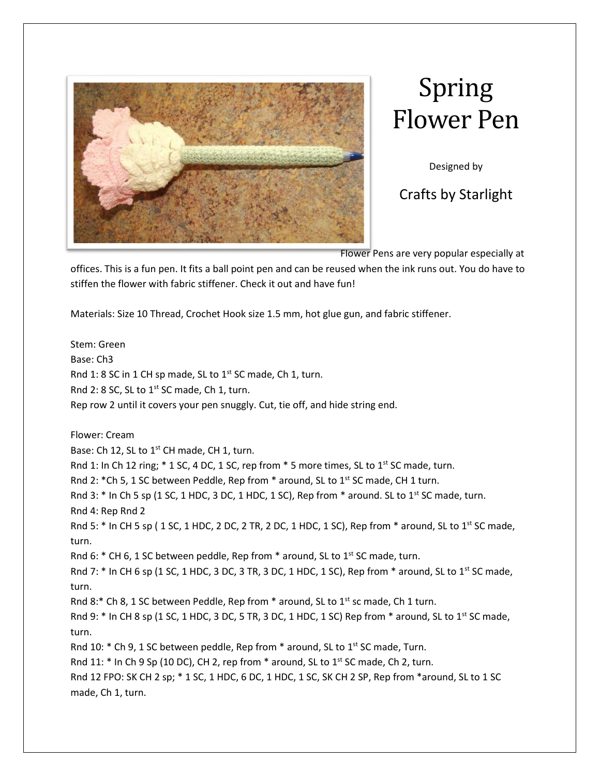

## Spring Flower Pen

Designed by

Crafts by Starlight

Flower Pens are very popular especially at

offices. This is a fun pen. It fits a ball point pen and can be reused when the ink runs out. You do have to stiffen the flower with fabric stiffener. Check it out and have fun!

Materials: Size 10 Thread, Crochet Hook size 1.5 mm, hot glue gun, and fabric stiffener.

Stem: Green Base: Ch3 Rnd 1: 8 SC in 1 CH sp made, SL to  $1^{st}$  SC made, Ch 1, turn. Rnd 2: 8 SC, SL to  $1^{st}$  SC made, Ch 1, turn. Rep row 2 until it covers your pen snuggly. Cut, tie off, and hide string end. Flower: Cream Base: Ch 12, SL to 1<sup>st</sup> CH made, CH 1, turn. Rnd 1: In Ch 12 ring; \* 1 SC, 4 DC, 1 SC, rep from \* 5 more times, SL to 1<sup>st</sup> SC made, turn. Rnd 2:  $*Ch 5$ , 1 SC between Peddle, Rep from  $*$  around, SL to 1st SC made, CH 1 turn. Rnd 3:  $*$  In Ch 5 sp (1 SC, 1 HDC, 3 DC, 1 HDC, 1 SC), Rep from  $*$  around. SL to 1<sup>st</sup> SC made, turn. Rnd 4: Rep Rnd 2 Rnd 5:  $*$  In CH 5 sp (1SC, 1HDC, 2 DC, 2 TR, 2 DC, 1HDC, 1 SC), Rep from  $*$  around, SL to 1st SC made, turn. Rnd 6:  $*$  CH 6, 1 SC between peddle, Rep from  $*$  around, SL to 1st SC made, turn. Rnd 7:  $*$  In CH 6 sp (1 SC, 1 HDC, 3 DC, 3 TR, 3 DC, 1 HDC, 1 SC), Rep from  $*$  around, SL to 1st SC made, turn. Rnd 8:\* Ch 8, 1 SC between Peddle, Rep from  $*$  around, SL to 1<sup>st</sup> sc made, Ch 1 turn. Rnd 9:  $*$  In CH 8 sp (1 SC, 1 HDC, 3 DC, 5 TR, 3 DC, 1 HDC, 1 SC) Rep from  $*$  around, SL to 1<sup>st</sup> SC made, turn. Rnd 10:  $*$  Ch 9, 1 SC between peddle, Rep from  $*$  around, SL to 1<sup>st</sup> SC made, Turn. Rnd 11:  $*$  In Ch 9 Sp (10 DC), CH 2, rep from  $*$  around, SL to 1st SC made, Ch 2, turn. Rnd 12 FPO: SK CH 2 sp; \* 1 SC, 1 HDC, 6 DC, 1 HDC, 1 SC, SK CH 2 SP, Rep from \*around, SL to 1 SC made, Ch 1, turn.